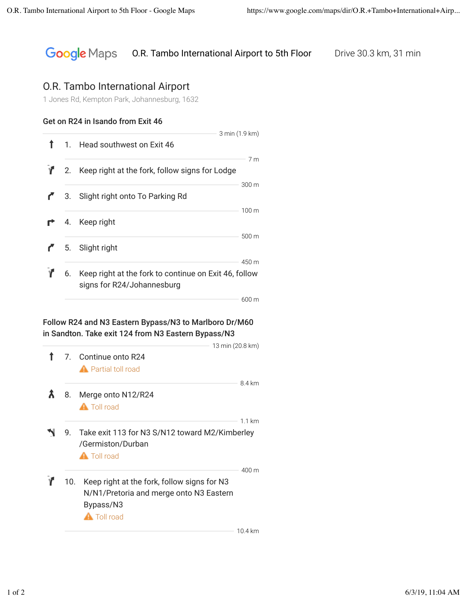#### **Google** Maps O.R. Tambo International Airport to 5th Floor Drive 30.3 km, 31 min

# O.R. Tambo International Airport

1 Jones Rd, Kempton Park, Johannesburg, 1632

### Get on R24 in Isando from Exit 46

|  | 3 min (1.9 km)                                                                         |                          |
|--|----------------------------------------------------------------------------------------|--------------------------|
|  | 1. Head southwest on Exit 46                                                           |                          |
|  | 2. Keep right at the fork, follow signs for Lodge                                      | 7 <sub>m</sub>           |
|  | 3. Slight right onto To Parking Rd                                                     | 300 m                    |
|  | 4. Keep right                                                                          | $100 \text{ m}$<br>500 m |
|  | 5. Slight right                                                                        | 450 m                    |
|  | 6. Keep right at the fork to continue on Exit 46, follow<br>signs for R24/Johannesburg |                          |
|  |                                                                                        | $600 \text{ m}$          |

#### Follow R24 and N3 Eastern Bypass/N3 to Marlboro Dr/M60 in Sandton. Take exit 124 from N3 Eastern Bypass/N3

|     |                                                                     | 13 min (20.8 km) |
|-----|---------------------------------------------------------------------|------------------|
|     | 7. Continue onto R24                                                |                  |
|     | <b>A</b> Partial toll road                                          |                  |
| 8.  | Merge onto N12/R24                                                  | 84 km            |
|     | <b>A</b> Toll road                                                  |                  |
|     |                                                                     | 11 km            |
| 9.  | Take exit 113 for N3 S/N12 toward M2/Kimberley<br>/Germiston/Durban |                  |
|     | <b>A</b> Toll road                                                  |                  |
|     |                                                                     | 400 m            |
| 10. | Keep right at the fork, follow signs for N3                         |                  |
|     | N/N1/Pretoria and merge onto N3 Eastern                             |                  |
|     | Bypass/N3                                                           |                  |
|     | <b>A</b> Toll road                                                  |                  |
|     |                                                                     | 10.4 km          |